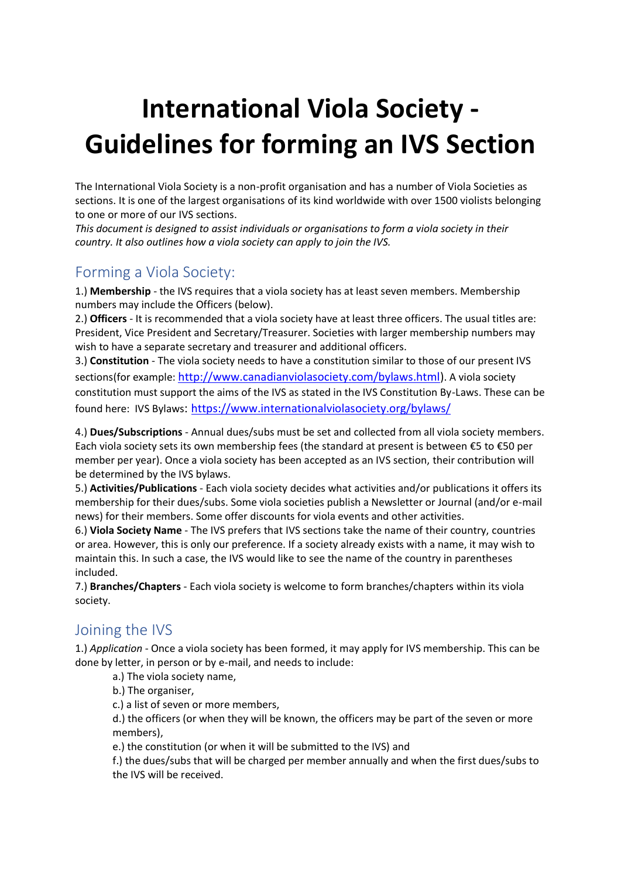## **International Viola Society - Guidelines for forming an IVS Section**

The International Viola Society is a non-profit organisation and has a number of Viola Societies as sections. It is one of the largest organisations of its kind worldwide with over 1500 violists belonging to one or more of our IVS sections.

*This document is designed to assist individuals or organisations to form a viola society in their country. It also outlines how a viola society can apply to join the IVS.* 

## Forming a Viola Society:

1.) **Membership** - the IVS requires that a viola society has at least seven members. Membership numbers may include the Officers (below).

2.) **Officers** - It is recommended that a viola society have at least three officers. The usual titles are: President, Vice President and Secretary/Treasurer. Societies with larger membership numbers may wish to have a separate secretary and treasurer and additional officers.

3.) **Constitution** - The viola society needs to have a constitution similar to those of our present IVS sections(for example: [http://www.canadianviolasociety.com/bylaws.html\)](http://www.canadianviolasociety.com/bylaws.html). A viola society constitution must support the aims of the IVS as stated in the IVS Constitution By-Laws. These can be found here: IVS Bylaws: <https://www.internationalviolasociety.org/bylaws/>

4.) **Dues/Subscriptions** - Annual dues/subs must be set and collected from all viola society members. Each viola society sets its own membership fees (the standard at present is between €5 to €50 per member per year). Once a viola society has been accepted as an IVS section, their contribution will be determined by the IVS bylaws.

5.) **Activities/Publications** - Each viola society decides what activities and/or publications it offers its membership for their dues/subs. Some viola societies publish a Newsletter or Journal (and/or e-mail news) for their members. Some offer discounts for viola events and other activities.

6.) **Viola Society Name** - The IVS prefers that IVS sections take the name of their country, countries or area. However, this is only our preference. If a society already exists with a name, it may wish to maintain this. In such a case, the IVS would like to see the name of the country in parentheses included.

7.) **Branches/Chapters** - Each viola society is welcome to form branches/chapters within its viola society.

## Joining the IVS

1.) *Application* - Once a viola society has been formed, it may apply for IVS membership. This can be done by letter, in person or by e-mail, and needs to include:

a.) The viola society name,

b.) The organiser,

c.) a list of seven or more members,

d.) the officers (or when they will be known, the officers may be part of the seven or more members),

e.) the constitution (or when it will be submitted to the IVS) and

f.) the dues/subs that will be charged per member annually and when the first dues/subs to the IVS will be received.